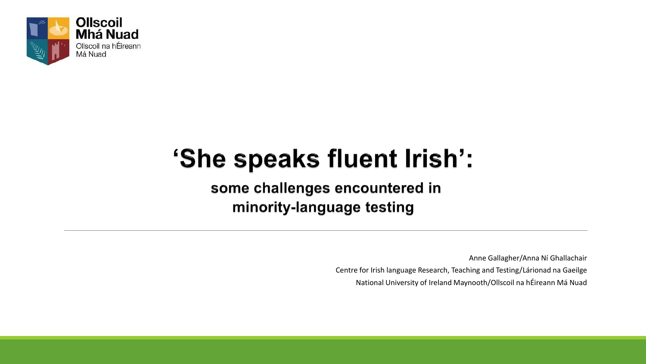

# 'She speaks fluent Irish':

some challenges encountered in minority-language testing

Anne Gallagher/Anna Ní Ghallachair

Centre for Irish language Research, Teaching and Testing/Lárionad na Gaeilge

National University of Ireland Maynooth/Ollscoil na hÉireann Má Nuad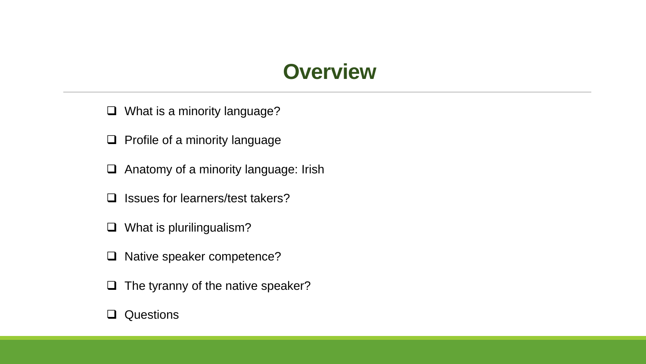## **Overview**

- ❑ What is a minority language?
- ❑ Profile of a minority language
- ❑ Anatomy of a minority language: Irish
- ❑ Issues for learners/test takers?
- ❑ What is plurilingualism?
- ❑ Native speaker competence?
- ❑ The tyranny of the native speaker?

#### ❑ Questions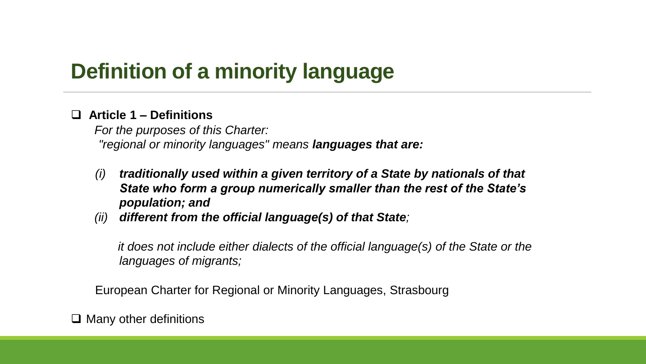# **Definition of a minority language**

### ❑ **Article 1 – Definitions**

*For the purposes of this Charter: "regional or minority languages" means languages that are:* 

- *(i) traditionally used within a given territory of a State by nationals of that State who form a group numerically smaller than the rest of the State's population; and*
- *(ii) different from the official language(s) of that State;*

*it does not include either dialects of the official language(s) of the State or the languages of migrants;*

European Charter for Regional or Minority Languages, Strasbourg

❑ Many other definitions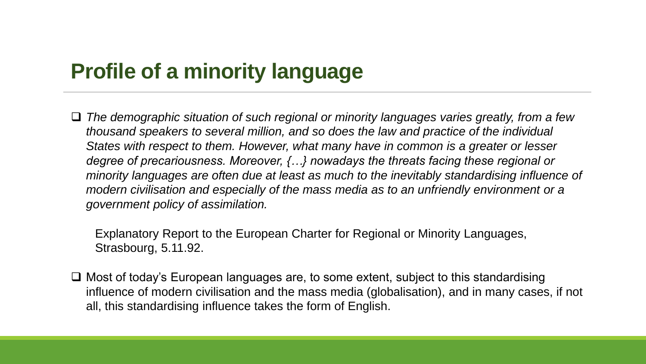# **Profile of a minority language**

❑ *The demographic situation of such regional or minority languages varies greatly, from a few thousand speakers to several million, and so does the law and practice of the individual States with respect to them. However, what many have in common is a greater or lesser degree of precariousness. Moreover, {…} nowadays the threats facing these regional or minority languages are often due at least as much to the inevitably standardising influence of modern civilisation and especially of the mass media as to an unfriendly environment or a government policy of assimilation.*

Explanatory Report to the European Charter for Regional or Minority Languages, Strasbourg, 5.11.92.

❑ Most of today's European languages are, to some extent, subject to this standardising influence of modern civilisation and the mass media (globalisation), and in many cases, if not all, this standardising influence takes the form of English.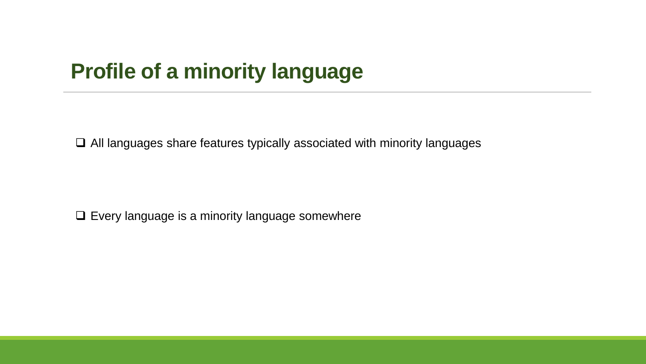# **Profile of a minority language**

❑ All languages share features typically associated with minority languages

❑ Every language is a minority language somewhere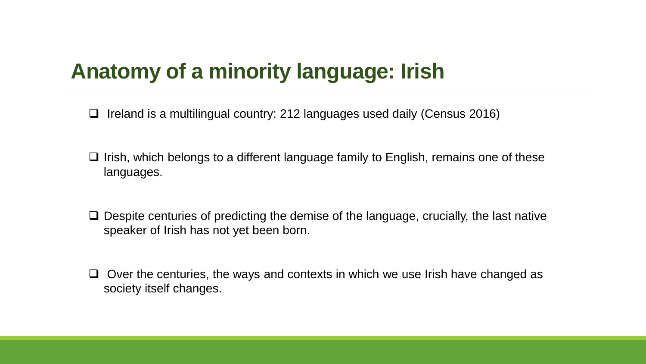# **Anatomy of a minority language: Irish**

- ❑ Ireland is a multilingual country: 212 languages used daily (Census 2016)
- ❑ Irish, which belongs to a different language family to English, remains one of these languages.
- ❑ Despite centuries of predicting the demise of the language, crucially, the last native speaker of Irish has not yet been born.
- ❑ Over the centuries, the ways and contexts in which we use Irish have changed as society itself changes.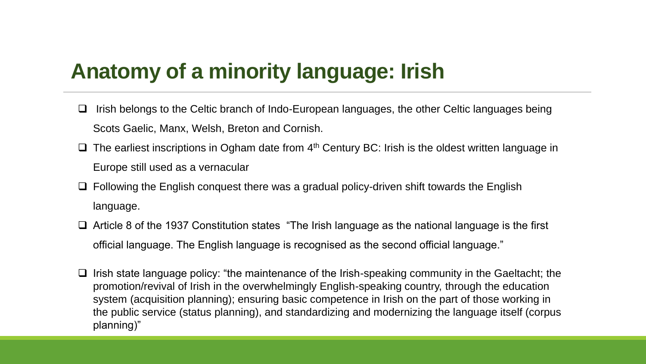# **Anatomy of a minority language: Irish**

- ❑ Irish belongs to the Celtic branch of Indo-European languages, the other Celtic languages being Scots Gaelic, Manx, Welsh, Breton and Cornish.
- $\Box$  The earliest inscriptions in Ogham date from 4<sup>th</sup> Century BC: Irish is the oldest written language in Europe still used as a vernacular
- ❑ Following the English conquest there was a gradual policy-driven shift towards the English language.
- ❑ Article 8 of the 1937 Constitution states "The Irish language as the national language is the first official language. The English language is recognised as the second official language."
- ❑ Irish state language policy: "the maintenance of the Irish-speaking community in the Gaeltacht; the promotion/revival of Irish in the overwhelmingly English-speaking country, through the education system (acquisition planning); ensuring basic competence in Irish on the part of those working in the public service (status planning), and standardizing and modernizing the language itself (corpus planning)"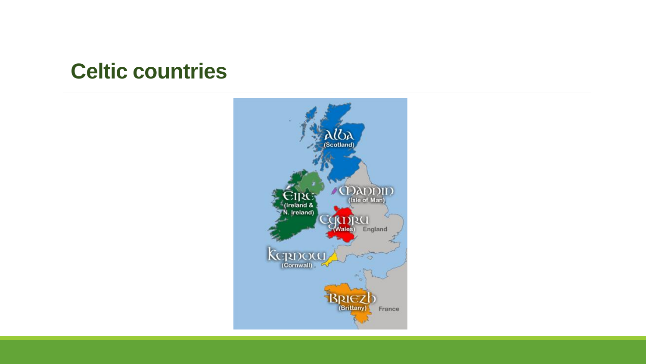## **Celtic countries**

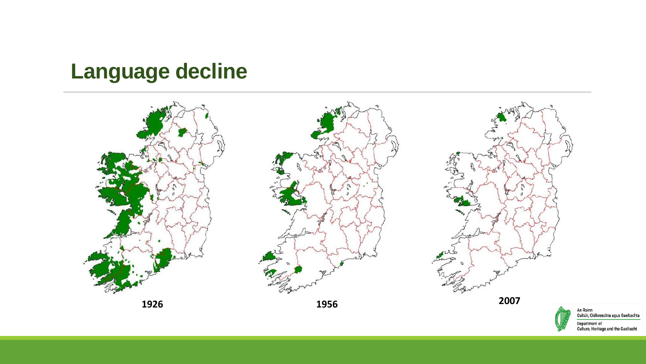# **Language decline**



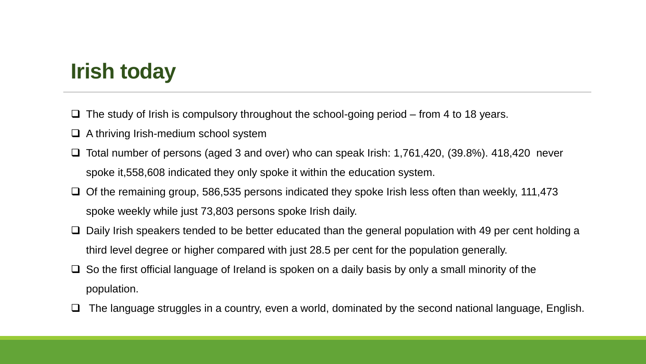# **Irish today**

- ❑ The study of Irish is compulsory throughout the school-going period from 4 to 18 years.
- ❑ A thriving Irish-medium school system
- ❑ Total number of persons (aged 3 and over) who can speak Irish: 1,761,420, (39.8%). 418,420 never spoke it,558,608 indicated they only spoke it within the education system.
- ❑ Of the remaining group, 586,535 persons indicated they spoke Irish less often than weekly, 111,473 spoke weekly while just 73,803 persons spoke Irish daily.
- ❑ Daily Irish speakers tended to be better educated than the general population with 49 per cent holding a third level degree or higher compared with just 28.5 per cent for the population generally.
- $\Box$  So the first official language of Ireland is spoken on a daily basis by only a small minority of the population.
- ❑ The language struggles in a country, even a world, dominated by the second national language, English.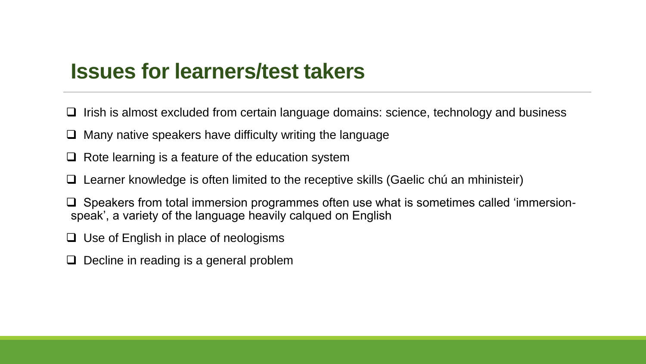## **Issues for learners/test takers**

- ❑ Irish is almost excluded from certain language domains: science, technology and business
- ❑ Many native speakers have difficulty writing the language
- ❑ Rote learning is a feature of the education system
- ❑ Learner knowledge is often limited to the receptive skills (Gaelic chú an mhinisteir)
- ❑ Speakers from total immersion programmes often use what is sometimes called 'immersionspeak', a variety of the language heavily calqued on English
- ❑ Use of English in place of neologisms
- ❑ Decline in reading is a general problem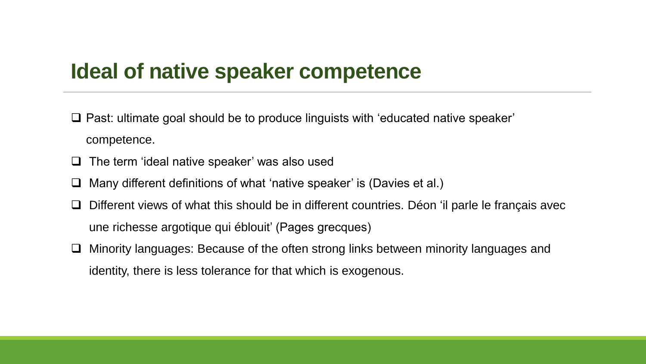## **Ideal of native speaker competence**

- ❑ Past: ultimate goal should be to produce linguists with 'educated native speaker' competence.
- ❑ The term 'ideal native speaker' was also used
- ❑ Many different definitions of what 'native speaker' is (Davies et al.)
- ❑ Different views of what this should be in different countries. Déon 'il parle le français avec une richesse argotique qui éblouit' (Pages grecques)
- ❑ Minority languages: Because of the often strong links between minority languages and identity, there is less tolerance for that which is exogenous.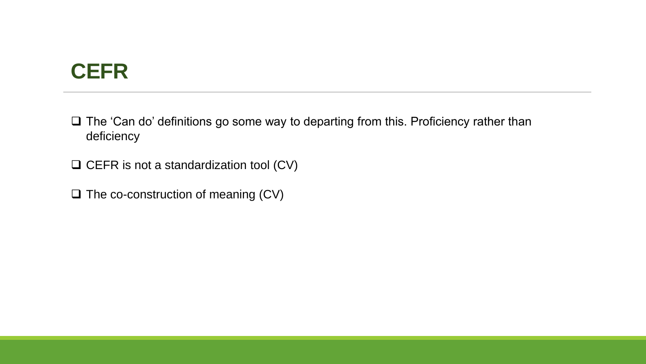# **CEFR**

❑ The 'Can do' definitions go some way to departing from this. Proficiency rather than deficiency

❑ CEFR is not a standardization tool (CV)

❑ The co-construction of meaning (CV)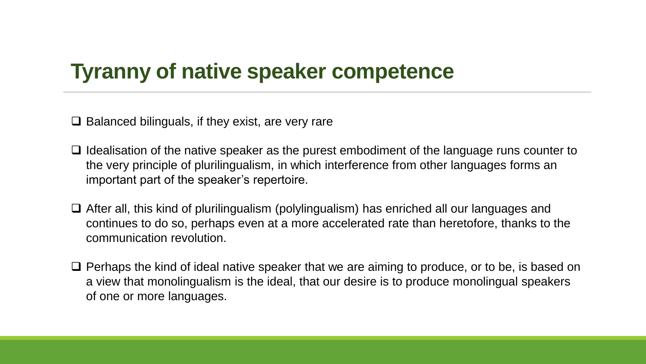# **Tyranny of native speaker competence**

❑ Balanced bilinguals, if they exist, are very rare

- ❑ Idealisation of the native speaker as the purest embodiment of the language runs counter to the very principle of plurilingualism, in which interference from other languages forms an important part of the speaker's repertoire.
- ❑ After all, this kind of plurilingualism (polylingualism) has enriched all our languages and continues to do so, perhaps even at a more accelerated rate than heretofore, thanks to the communication revolution.
- ❑ Perhaps the kind of ideal native speaker that we are aiming to produce, or to be, is based on a view that monolingualism is the ideal, that our desire is to produce monolingual speakers of one or more languages.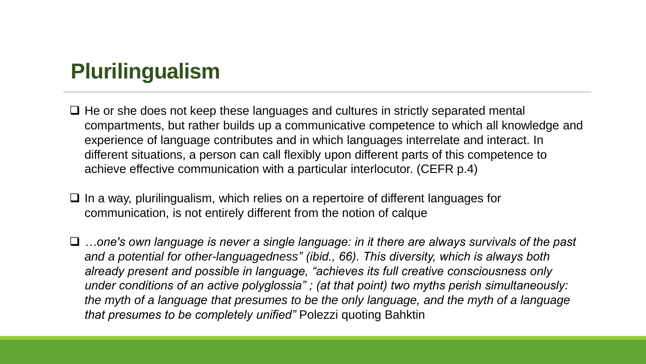# **Plurilingualism**

- ❑ He or she does not keep these languages and cultures in strictly separated mental compartments, but rather builds up a communicative competence to which all knowledge and experience of language contributes and in which languages interrelate and interact. In different situations, a person can call flexibly upon different parts of this competence to achieve effective communication with a particular interlocutor. (CEFR p.4)
- ❑ In a way, plurilingualism, which relies on a repertoire of different languages for communication, is not entirely different from the notion of calque
- ❑ *…one's own language is never a single language: in it there are always survivals of the past and a potential for other-languagedness" (ibid., 66). This diversity, which is always both already present and possible in language, "achieves its full creative consciousness only under conditions of an active polyglossia" ; (at that point) two myths perish simultaneously: the myth of a language that presumes to be the only language, and the myth of a language that presumes to be completely unified"* Polezzi quoting Bahktin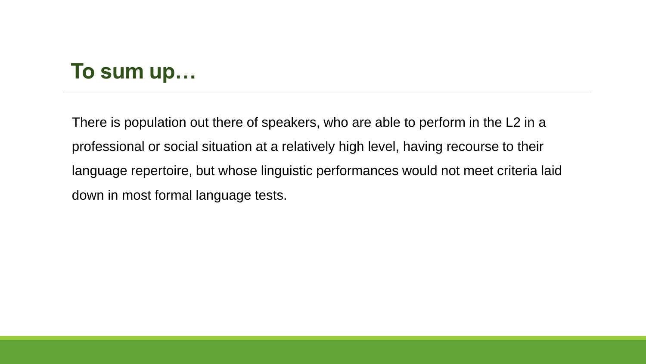# **To sum up…**

There is population out there of speakers, who are able to perform in the L2 in a professional or social situation at a relatively high level, having recourse to their language repertoire, but whose linguistic performances would not meet criteria laid down in most formal language tests.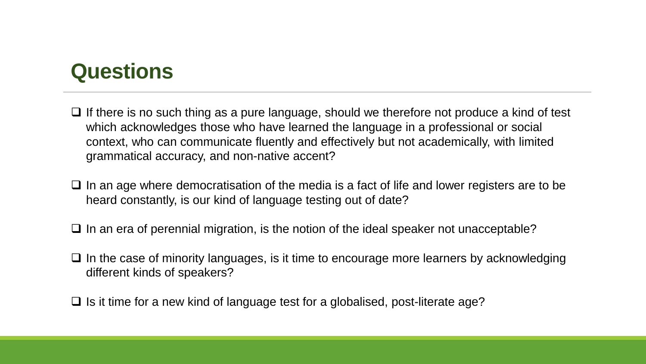# **Questions**

- ❑ If there is no such thing as a pure language, should we therefore not produce a kind of test which acknowledges those who have learned the language in a professional or social context, who can communicate fluently and effectively but not academically, with limited grammatical accuracy, and non-native accent?
- ❑ In an age where democratisation of the media is a fact of life and lower registers are to be heard constantly, is our kind of language testing out of date?
- ❑ In an era of perennial migration, is the notion of the ideal speaker not unacceptable?
- ❑ In the case of minority languages, is it time to encourage more learners by acknowledging different kinds of speakers?
- $\Box$  Is it time for a new kind of language test for a globalised, post-literate age?